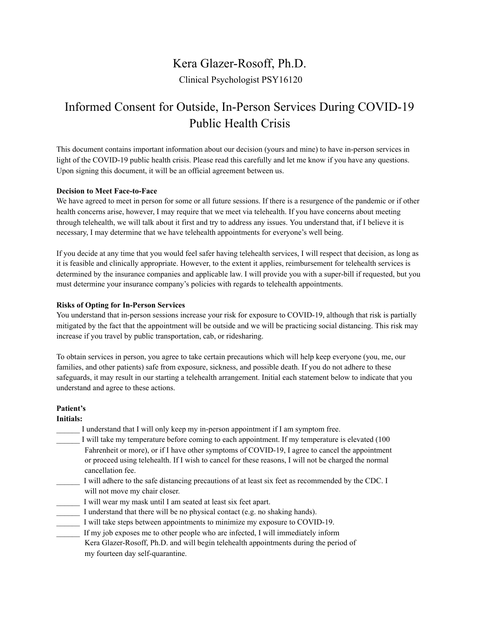# Kera Glazer-Rosoff, Ph.D.

Clinical Psychologist PSY16120

# Informed Consent for Outside, In-Person Services During COVID-19 Public Health Crisis

This document contains important information about our decision (yours and mine) to have in-person services in light of the COVID-19 public health crisis. Please read this carefully and let me know if you have any questions. Upon signing this document, it will be an official agreement between us.

#### **Decision to Meet Face-to-Face**

We have agreed to meet in person for some or all future sessions. If there is a resurgence of the pandemic or if other health concerns arise, however, I may require that we meet via telehealth. If you have concerns about meeting through telehealth, we will talk about it first and try to address any issues. You understand that, if I believe it is necessary, I may determine that we have telehealth appointments for everyone's well being.

If you decide at any time that you would feel safer having telehealth services, I will respect that decision, as long as it is feasible and clinically appropriate. However, to the extent it applies, reimbursement for telehealth services is determined by the insurance companies and applicable law. I will provide you with a super-bill if requested, but you must determine your insurance company's policies with regards to telehealth appointments.

#### **Risks of Opting for In-Person Services**

You understand that in-person sessions increase your risk for exposure to COVID-19, although that risk is partially mitigated by the fact that the appointment will be outside and we will be practicing social distancing. This risk may increase if you travel by public transportation, cab, or ridesharing.

To obtain services in person, you agree to take certain precautions which will help keep everyone (you, me, our families, and other patients) safe from exposure, sickness, and possible death. If you do not adhere to these safeguards, it may result in our starting a telehealth arrangement. Initial each statement below to indicate that you understand and agree to these actions.

#### **Patient's**

## **Initials:**

- I understand that I will only keep my in-person appointment if I am symptom free.
- I will take my temperature before coming to each appointment. If my temperature is elevated (100) Fahrenheit or more), or if I have other symptoms of COVID-19, I agree to cancel the appointment or proceed using telehealth. If I wish to cancel for these reasons, I will not be charged the normal cancellation fee.
- I will adhere to the safe distancing precautions of at least six feet as recommended by the CDC. I will not move my chair closer.
- \_\_\_\_\_\_ I will wear my mask until I am seated at least six feet apart.
- \_\_\_\_\_\_ I understand that there will be no physical contact (e.g. no shaking hands).
- \_\_\_\_\_\_ I will take steps between appointments to minimize my exposure to COVID-19.
- If my job exposes me to other people who are infected, I will immediately inform Kera Glazer-Rosoff, Ph.D. and will begin telehealth appointments during the period of my fourteen day self-quarantine.